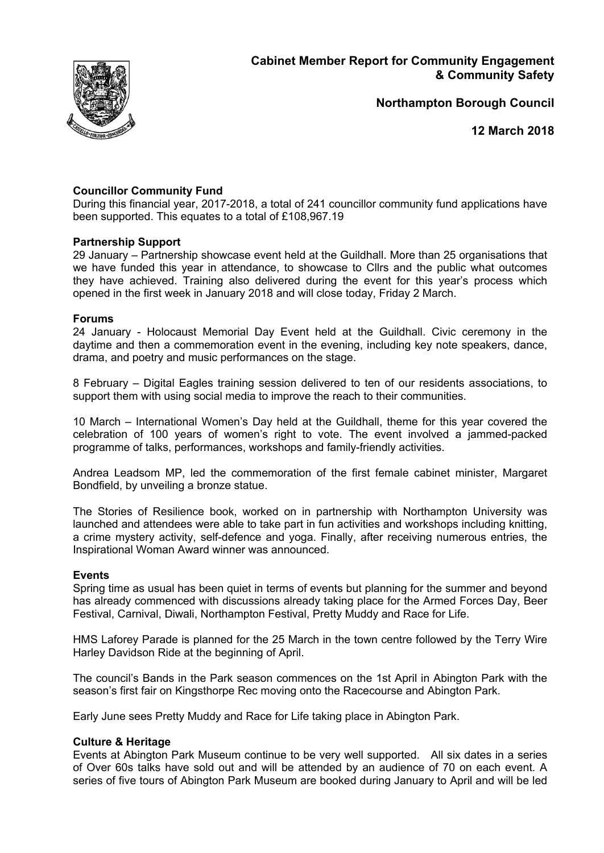

**Northampton Borough Council**

**12 March 2018**

# **Councillor Community Fund**

During this financial year, 2017-2018, a total of 241 councillor community fund applications have been supported. This equates to a total of £108,967.19

## **Partnership Support**

29 January – Partnership showcase event held at the Guildhall. More than 25 organisations that we have funded this year in attendance, to showcase to Cllrs and the public what outcomes they have achieved. Training also delivered during the event for this year's process which opened in the first week in January 2018 and will close today, Friday 2 March.

## **Forums**

24 January - Holocaust Memorial Day Event held at the Guildhall. Civic ceremony in the daytime and then a commemoration event in the evening, including key note speakers, dance, drama, and poetry and music performances on the stage.

8 February – Digital Eagles training session delivered to ten of our residents associations, to support them with using social media to improve the reach to their communities.

10 March – International Women's Day held at the Guildhall, theme for this year covered the celebration of 100 years of women's right to vote. The event involved a jammed-packed programme of talks, performances, workshops and family-friendly activities.

Andrea Leadsom MP, led the commemoration of the first female cabinet minister, Margaret Bondfield, by unveiling a bronze statue.

The Stories of Resilience book, worked on in partnership with Northampton University was launched and attendees were able to take part in fun activities and workshops including knitting, a crime mystery activity, self-defence and yoga. Finally, after receiving numerous entries, the Inspirational Woman Award winner was announced.

### **Events**

Spring time as usual has been quiet in terms of events but planning for the summer and beyond has already commenced with discussions already taking place for the Armed Forces Day, Beer Festival, Carnival, Diwali, Northampton Festival, Pretty Muddy and Race for Life.

HMS Laforey Parade is planned for the 25 March in the town centre followed by the Terry Wire Harley Davidson Ride at the beginning of April.

The council's Bands in the Park season commences on the 1st April in Abington Park with the season's first fair on Kingsthorpe Rec moving onto the Racecourse and Abington Park.

Early June sees Pretty Muddy and Race for Life taking place in Abington Park.

### **Culture & Heritage**

Events at Abington Park Museum continue to be very well supported. All six dates in a series of Over 60s talks have sold out and will be attended by an audience of 70 on each event. A series of five tours of Abington Park Museum are booked during January to April and will be led